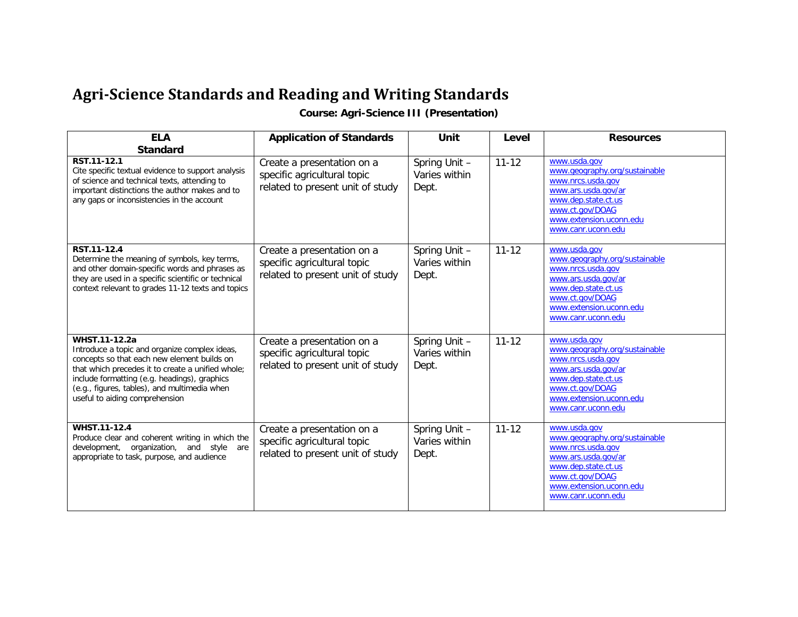## **Agri-Science Standards and Reading and Writing Standards**

**Course: Agri-Science III (Presentation)**

| <b>ELA</b>                                                                                                                                                                                                                                                                                           | <b>Application of Standards</b>                                                               | Unit<br>Level                           |           | <b>Resources</b>                                                                                                                                                                     |  |
|------------------------------------------------------------------------------------------------------------------------------------------------------------------------------------------------------------------------------------------------------------------------------------------------------|-----------------------------------------------------------------------------------------------|-----------------------------------------|-----------|--------------------------------------------------------------------------------------------------------------------------------------------------------------------------------------|--|
| <b>Standard</b><br>RST.11-12.1<br>Cite specific textual evidence to support analysis<br>of science and technical texts, attending to<br>important distinctions the author makes and to<br>any gaps or inconsistencies in the account                                                                 | Create a presentation on a<br>specific agricultural topic<br>related to present unit of study | Spring Unit -<br>Varies within<br>Dept. | $11 - 12$ | www.usda.gov<br>www.geography.org/sustainable<br>www.nrcs.usda.gov<br>www.ars.usda.gov/ar<br>www.dep.state.ct.us<br>www.ct.gov/DOAG<br>www.extension.uconn.edu<br>www.canr.uconn.edu |  |
| RST.11-12.4<br>Determine the meaning of symbols, key terms,<br>and other domain-specific words and phrases as<br>they are used in a specific scientific or technical<br>context relevant to grades 11-12 texts and topics                                                                            | Create a presentation on a<br>specific agricultural topic<br>related to present unit of study | Spring Unit -<br>Varies within<br>Dept. | $11 - 12$ | www.usda.gov<br>www.geography.org/sustainable<br>www.nrcs.usda.gov<br>www.ars.usda.gov/ar<br>www.dep.state.ct.us<br>www.ct.gov/DOAG<br>www.extension.uconn.edu<br>www.canr.uconn.edu |  |
| WHST.11-12.2a<br>Introduce a topic and organize complex ideas,<br>concepts so that each new element builds on<br>that which precedes it to create a unified whole;<br>include formatting (e.g. headings), graphics<br>(e.g., figures, tables), and multimedia when<br>useful to aiding comprehension | Create a presentation on a<br>specific agricultural topic<br>related to present unit of study | Spring Unit -<br>Varies within<br>Dept. | $11 - 12$ | www.usda.gov<br>www.geography.org/sustainable<br>www.nrcs.usda.gov<br>www.ars.usda.gov/ar<br>www.dep.state.ct.us<br>www.ct.gov/DOAG<br>www.extension.uconn.edu<br>www.canr.uconn.edu |  |
| WHST.11-12.4<br>Produce clear and coherent writing in which the<br>development, organization, and style are<br>appropriate to task, purpose, and audience                                                                                                                                            | Create a presentation on a<br>specific agricultural topic<br>related to present unit of study | Spring Unit -<br>Varies within<br>Dept. | $11 - 12$ | www.usda.gov<br>www.qeography.org/sustainable<br>www.nrcs.usda.gov<br>www.ars.usda.gov/ar<br>www.dep.state.ct.us<br>www.ct.gov/DOAG<br>www.extension.uconn.edu<br>www.canr.uconn.edu |  |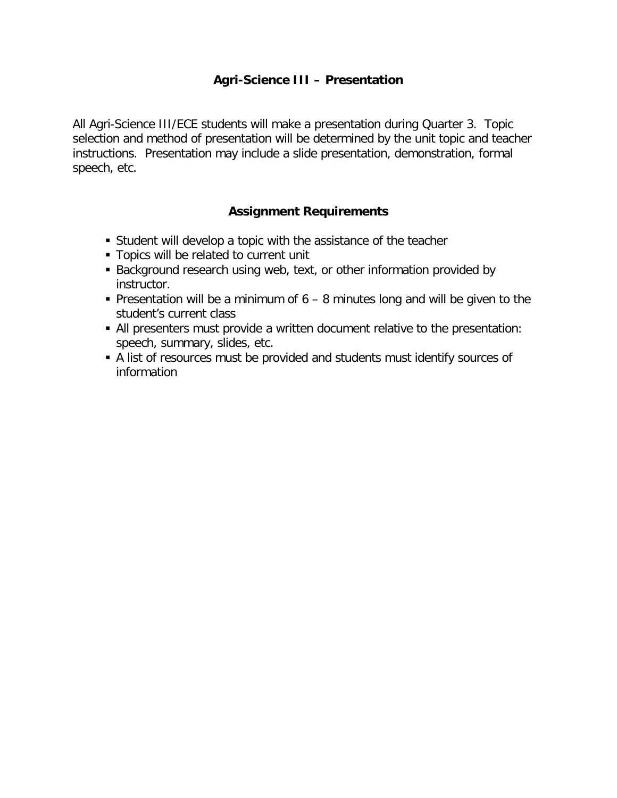## **Agri-Science III – Presentation**

All Agri-Science III/ECE students will make a presentation during Quarter 3. Topic selection and method of presentation will be determined by the unit topic and teacher instructions. Presentation may include a slide presentation, demonstration, formal speech, etc.

## **Assignment Requirements**

- Student will develop a topic with the assistance of the teacher
- **Topics will be related to current unit**
- Background research using web, text, or other information provided by instructor.
- Presentation will be a minimum of  $6 8$  minutes long and will be given to the student's current class
- All presenters must provide a written document relative to the presentation: speech, summary, slides, etc.
- A list of resources must be provided and students must identify sources of information